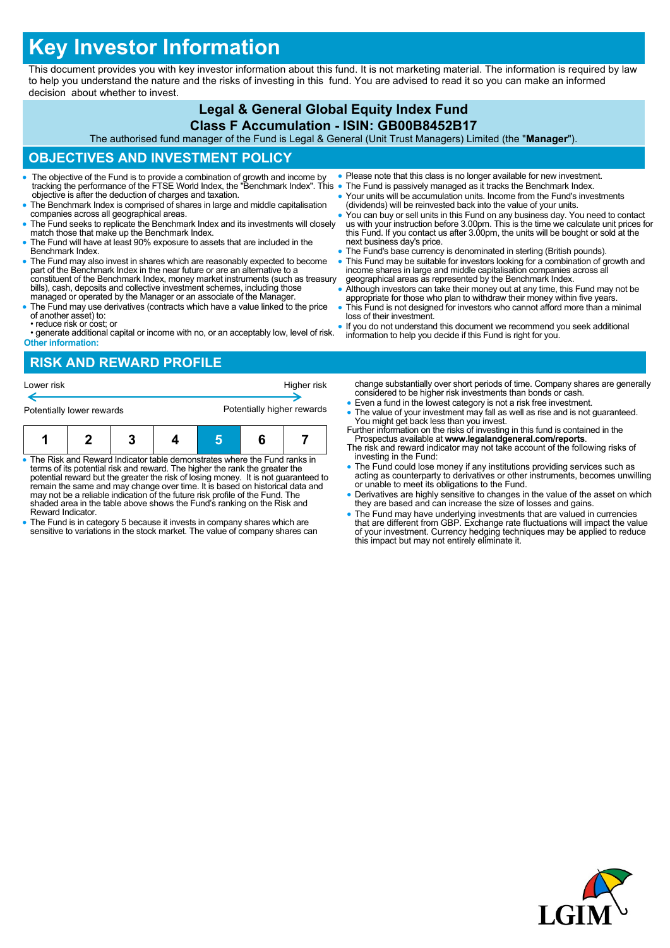# **Key Investor Information**

This document provides you with key investor information about this fund. It is not marketing material. The information is required by law to help you understand the nature and the risks of investing in this fund. You are advised to read it so you can make an informed decision about whether to invest.

# **Legal & General Global Equity Index Fund**

#### **Class F Accumulation - ISIN: GB00B8452B17**

The authorised fund manager of the Fund is Legal & General (Unit Trust Managers) Limited (the "**Manager**").

# **OBJECTIVES AND INVESTMENT POLICY**

- The objective of the Fund is to provide a combination of growth and income by tracking the performance of the FTSE World Index, the "Benchmark Index". This objective is after the deduction of charges and taxation.
- The Benchmark Index is comprised of shares in large and middle capitalisation companies across all geographical areas.
- The Fund seeks to replicate the Benchmark Index and its investments will closely match those that make up the Benchmark Index.
- The Fund will have at least 90% exposure to assets that are included in the Benchmark Index.
- The Fund may also invest in shares which are reasonably expected to become part of the Benchmark Index in the near future or are an alternative to a constituent of the Benchmark Index, money market instruments (such as treasury bills), cash, deposits and collective investment schemes, including those managed or operated by the Manager or an associate of the Manager.
- The Fund may use derivatives (contracts which have a value linked to the price of another asset) to:
- reduce risk or cost; or • generate additional capital or income with no, or an acceptably low, level of risk.
- **Other information:**
- **RISK AND REWARD PROFILE**
- Please note that this class is no longer available for new investment.
- The Fund is passively managed as it tracks the Benchmark Index. Your units will be accumulation units. Income from the Fund's investments
	- (dividends) will be reinvested back into the value of your units. You can buy or sell units in this Fund on any business day. You need to contact us with your instruction before 3.00pm. This is the time we calculate unit prices for this Fund. If you contact us after 3.00pm, the units will be bought or sold at the next business day's price.
- The Fund's base currency is denominated in sterling (British pounds).
- This Fund may be suitable for investors looking for a combination of growth and income shares in large and middle capitalisation companies across all geographical areas as represented by the Benchmark Index.
- Although investors can take their money out at any time, this Fund may not be appropriate for those who plan to withdraw their money within five years.
- This Fund is not designed for investors who cannot afford more than a minimal loss of their investment.
- If you do not understand this document we recommend you seek additional information to help you decide if this Fund is right for you.
- The Risk and Reward Indicator table demonstrates where the Fund ranks in investing in the Fund: Lower risk **Higher risk** Higher risk **Higher risk** Potentially lower rewards **Potentially higher rewards 1 2 3 4 5 6 7**
- terms of its potential risk and reward. The higher the rank the greater the potential reward but the greater the risk of losing money. It is not guaranteed to remain the same and may change over time. It is based on historical data and may not be a reliable indication of the future risk profile of the Fund. The shaded area in the table above shows the Fund's ranking on the Risk and Reward Indicator.
- The Fund is in category 5 because it invests in company shares which are sensitive to variations in the stock market. The value of company shares can
- change substantially over short periods of time. Company shares are generally considered to be higher risk investments than bonds or cash.
- Even a fund in the lowest category is not a risk free investment.
- The value of your investment may fall as well as rise and is not guaranteed. You might get back less than you invest. Further information on the risks of investing in this fund is contained in the
- Prospectus available at **www.legalandgeneral.com/reports**. The risk and reward indicator may not take account of the following risks of
- The Fund could lose money if any institutions providing services such as acting as counterparty to derivatives or other instruments, becomes unwilling or unable to meet its obligations to the Fund.
- Derivatives are highly sensitive to changes in the value of the asset on which they are based and can increase the size of losses and gains.
- The Fund may have underlying investments that are valued in currencies<br>that are different from GBP. Exchange rate fluctuations will impact the value<br>of your investment. Currency hedging techniques may be applied to reduc